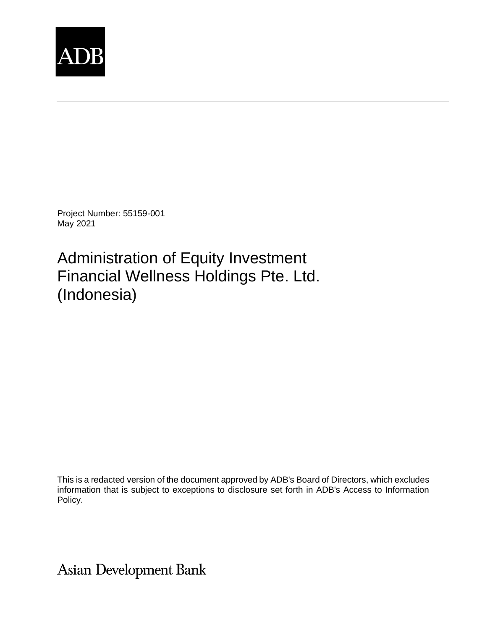

Project Number: 55159-001 May 2021

Administration of Equity Investment Financial Wellness Holdings Pte. Ltd. (Indonesia)

This is a redacted version of the document approved by ADB's Board of Directors, which excludes information that is subject to exceptions to disclosure set forth in ADB's Access to Information Policy.

**Asian Development Bank**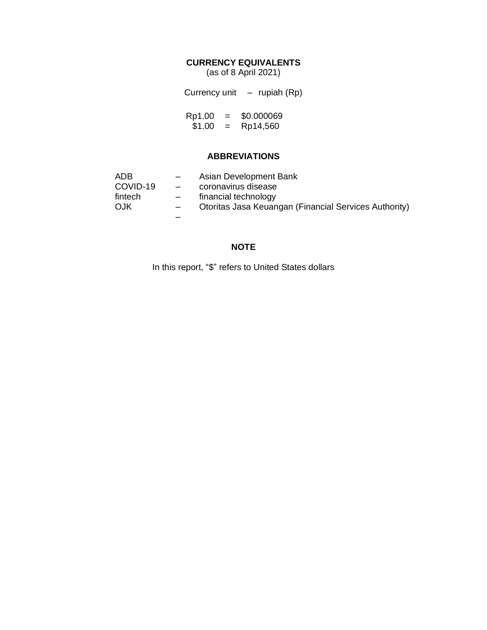## **CURRENCY EQUIVALENTS**

(as of 8 April 2021)

Currency unit – rupiah (Rp)

Rp1.00 = \$0.000069  $$1.00 =$  Rp14,560

### **ABBREVIATIONS**

| ADB      | $-$               | Asian Development Bank                                |
|----------|-------------------|-------------------------------------------------------|
| COVID-19 | $\qquad \qquad -$ | coronavirus disease                                   |
| fintech  | $-$               | financial technology                                  |
| OJK      |                   | Otoritas Jasa Keuangan (Financial Services Authority) |
|          |                   |                                                       |

### **NOTE**

In this report, "\$" refers to United States dollars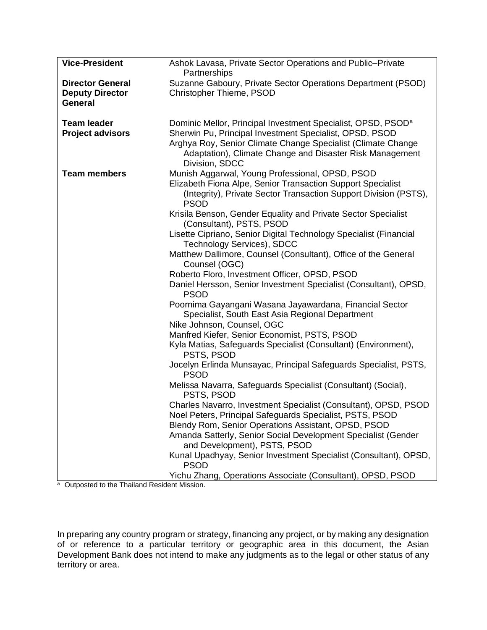| <b>Vice-President</b>                                        | Ashok Lavasa, Private Sector Operations and Public-Private<br>Partnerships                                                                                                                            |  |
|--------------------------------------------------------------|-------------------------------------------------------------------------------------------------------------------------------------------------------------------------------------------------------|--|
| <b>Director General</b><br><b>Deputy Director</b><br>General | Suzanne Gaboury, Private Sector Operations Department (PSOD)<br>Christopher Thieme, PSOD                                                                                                              |  |
| <b>Team leader</b>                                           | Dominic Mellor, Principal Investment Specialist, OPSD, PSOD <sup>a</sup>                                                                                                                              |  |
| <b>Project advisors</b>                                      | Sherwin Pu, Principal Investment Specialist, OPSD, PSOD<br>Arghya Roy, Senior Climate Change Specialist (Climate Change<br>Adaptation), Climate Change and Disaster Risk Management<br>Division, SDCC |  |
| <b>Team members</b>                                          | Munish Aggarwal, Young Professional, OPSD, PSOD<br>Elizabeth Fiona Alpe, Senior Transaction Support Specialist<br>(Integrity), Private Sector Transaction Support Division (PSTS),<br><b>PSOD</b>     |  |
|                                                              | Krisila Benson, Gender Equality and Private Sector Specialist<br>(Consultant), PSTS, PSOD                                                                                                             |  |
|                                                              | Lisette Cipriano, Senior Digital Technology Specialist (Financial<br>Technology Services), SDCC                                                                                                       |  |
|                                                              | Matthew Dallimore, Counsel (Consultant), Office of the General<br>Counsel (OGC)                                                                                                                       |  |
|                                                              | Roberto Floro, Investment Officer, OPSD, PSOD                                                                                                                                                         |  |
|                                                              | Daniel Hersson, Senior Investment Specialist (Consultant), OPSD,<br><b>PSOD</b>                                                                                                                       |  |
|                                                              | Poornima Gayangani Wasana Jayawardana, Financial Sector<br>Specialist, South East Asia Regional Department<br>Nike Johnson, Counsel, OGC                                                              |  |
|                                                              | Manfred Kiefer, Senior Economist, PSTS, PSOD                                                                                                                                                          |  |
|                                                              | Kyla Matias, Safeguards Specialist (Consultant) (Environment),<br>PSTS, PSOD                                                                                                                          |  |
|                                                              | Jocelyn Erlinda Munsayac, Principal Safeguards Specialist, PSTS,<br><b>PSOD</b>                                                                                                                       |  |
|                                                              | Melissa Navarra, Safeguards Specialist (Consultant) (Social),<br>PSTS, PSOD                                                                                                                           |  |
|                                                              | Charles Navarro, Investment Specialist (Consultant), OPSD, PSOD<br>Noel Peters, Principal Safeguards Specialist, PSTS, PSOD                                                                           |  |
|                                                              | Blendy Rom, Senior Operations Assistant, OPSD, PSOD<br>Amanda Satterly, Senior Social Development Specialist (Gender<br>and Development), PSTS, PSOD                                                  |  |
|                                                              | Kunal Upadhyay, Senior Investment Specialist (Consultant), OPSD,<br><b>PSOD</b>                                                                                                                       |  |
|                                                              | Yichu Zhang, Operations Associate (Consultant), OPSD, PSOD                                                                                                                                            |  |

<sup>a</sup> Outposted to the Thailand Resident Mission.

In preparing any country program or strategy, financing any project, or by making any designation of or reference to a particular territory or geographic area in this document, the Asian Development Bank does not intend to make any judgments as to the legal or other status of any territory or area.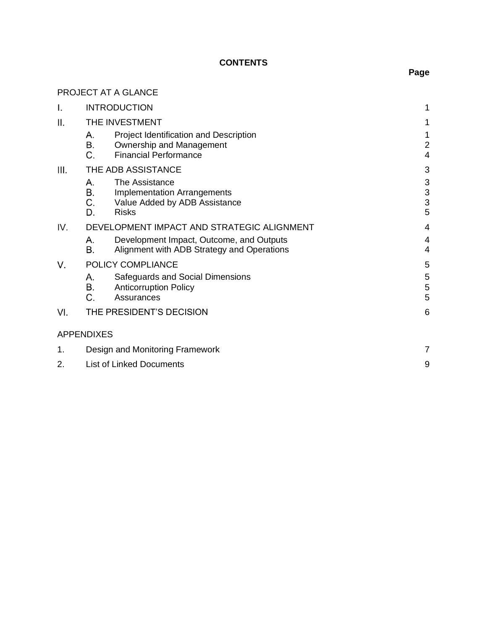# **CONTENTS**

|      | PROJECT AT A GLANCE                                                                                                    |  |                          |
|------|------------------------------------------------------------------------------------------------------------------------|--|--------------------------|
| Ι.   | <b>INTRODUCTION</b>                                                                                                    |  | 1                        |
| ΙΙ.  | THE INVESTMENT                                                                                                         |  |                          |
|      | Project Identification and Description<br>А.<br>Β.<br>Ownership and Management<br>C.<br><b>Financial Performance</b>   |  | 1<br>$\overline{2}$<br>4 |
| III. | THE ADB ASSISTANCE                                                                                                     |  | 3                        |
|      | А.<br>The Assistance<br>В.<br>Implementation Arrangements<br>C.<br>Value Added by ADB Assistance<br>D.<br><b>Risks</b> |  | 3<br>3<br>3<br>5         |
| IV.  | DEVELOPMENT IMPACT AND STRATEGIC ALIGNMENT                                                                             |  | 4                        |
|      | Development Impact, Outcome, and Outputs<br>А.<br>В.<br>Alignment with ADB Strategy and Operations                     |  | 4<br>4                   |
| V.   | POLICY COMPLIANCE                                                                                                      |  |                          |
|      | А.<br>Safeguards and Social Dimensions<br>В.<br><b>Anticorruption Policy</b><br>C.<br>Assurances                       |  | 5<br>5<br>5              |
| VI.  | THE PRESIDENT'S DECISION                                                                                               |  | 6                        |
|      | <b>APPENDIXES</b>                                                                                                      |  |                          |
| 1.   | 7<br>Design and Monitoring Framework                                                                                   |  |                          |
| 2.   | <b>List of Linked Documents</b>                                                                                        |  | 9                        |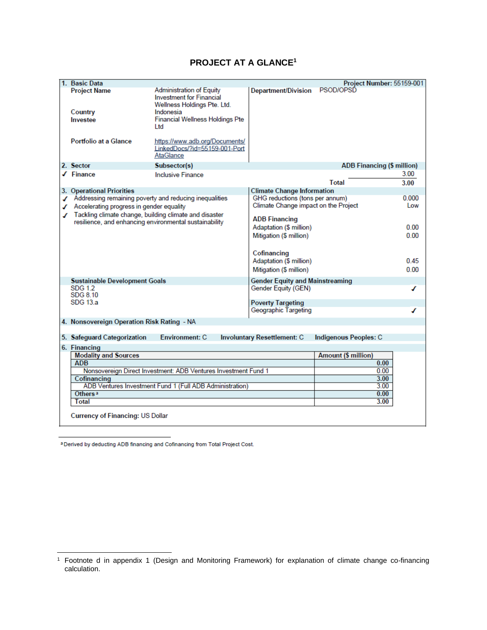## **PROJECT AT A GLANCE<sup>1</sup>**

| 1. Basic Data                                                  |                                                                                                                                                          |                                        | Project Number: 55159-001         |       |
|----------------------------------------------------------------|----------------------------------------------------------------------------------------------------------------------------------------------------------|----------------------------------------|-----------------------------------|-------|
| <b>Project Name</b><br>Country<br>Investee                     | <b>Administration of Equity</b><br><b>Investment for Financial</b><br>Wellness Holdings Pte. Ltd.<br>Indonesia<br><b>Financial Wellness Holdings Pte</b> | Department/Division PSOD/OPSD          |                                   |       |
|                                                                | Ltd                                                                                                                                                      |                                        |                                   |       |
| <b>Portfolio at a Glance</b>                                   | https://www.adb.org/Documents/<br>LinkedDocs/?id=55159-001-Port<br>AtaGlance                                                                             |                                        |                                   |       |
| 2. Sector                                                      | Subsector(s)                                                                                                                                             |                                        | <b>ADB Financing (\$ million)</b> |       |
| $\sqrt{}$ Finance                                              | <b>Inclusive Finance</b>                                                                                                                                 |                                        |                                   | 3.00  |
|                                                                |                                                                                                                                                          |                                        | Total                             | 3.00  |
| 3. Operational Priorities                                      |                                                                                                                                                          | <b>Climate Change Information</b>      |                                   |       |
| Addressing remaining poverty and reducing inequalities         |                                                                                                                                                          | GHG reductions (tons per annum)        |                                   | 0.000 |
| ✔ Accelerating progress in gender equality                     |                                                                                                                                                          | Climate Change impact on the Project   |                                   | Low   |
| ✔ Tackling climate change, building climate and disaster       |                                                                                                                                                          | <b>ADB Financing</b>                   |                                   |       |
| resilience, and enhancing environmental sustainability         |                                                                                                                                                          | Adaptation (\$ million)                |                                   | 0.00  |
|                                                                |                                                                                                                                                          | Mitigation (\$ million)                |                                   | 0.00  |
|                                                                |                                                                                                                                                          |                                        |                                   |       |
|                                                                |                                                                                                                                                          | Cofinancing                            |                                   |       |
|                                                                |                                                                                                                                                          | Adaptation (\$ million)                |                                   | 0.45  |
|                                                                |                                                                                                                                                          | Mitigation (\$ million)                |                                   | 0.00  |
|                                                                |                                                                                                                                                          |                                        |                                   |       |
| <b>Sustainable Development Goals</b><br><b>SDG 1.2</b>         |                                                                                                                                                          | <b>Gender Equity and Mainstreaming</b> |                                   |       |
| SDG 8.10                                                       |                                                                                                                                                          | Gender Equity (GEN)                    |                                   | ✔     |
| SDG 13.a                                                       |                                                                                                                                                          | <b>Poverty Targeting</b>               |                                   |       |
|                                                                |                                                                                                                                                          | Geographic Targeting                   |                                   |       |
|                                                                |                                                                                                                                                          |                                        |                                   |       |
| 4. Nonsovereign Operation Risk Rating - NA                     |                                                                                                                                                          |                                        |                                   |       |
| 5. Safeguard Categorization                                    | <b>Environment: C</b>                                                                                                                                    | <b>Involuntary Resettlement: C</b>     | <b>Indigenous Peoples: C</b>      |       |
| 6. Financing                                                   |                                                                                                                                                          |                                        |                                   |       |
| <b>Modality and Sources</b>                                    |                                                                                                                                                          |                                        | <b>Amount (\$ million)</b>        |       |
| <b>ADB</b>                                                     |                                                                                                                                                          |                                        | 0.00                              |       |
| Nonsovereign Direct Investment: ADB Ventures Investment Fund 1 |                                                                                                                                                          |                                        | 0.00                              |       |
| Cofinancing                                                    |                                                                                                                                                          |                                        | 3.00                              |       |
| ADB Ventures Investment Fund 1 (Full ADB Administration)       |                                                                                                                                                          |                                        | 3.00                              |       |
| Others <sup>a</sup>                                            |                                                                                                                                                          |                                        | 0.00                              |       |
| Total                                                          |                                                                                                                                                          |                                        | 3.00                              |       |
| <b>Currency of Financing: US Dollar</b>                        |                                                                                                                                                          |                                        |                                   |       |
|                                                                |                                                                                                                                                          |                                        |                                   |       |

a Derived by deducting ADB financing and Cofinancing from Total Project Cost.

<sup>1</sup> Footnote d in appendix 1 (Design and Monitoring Framework) for explanation of climate change co-financing calculation.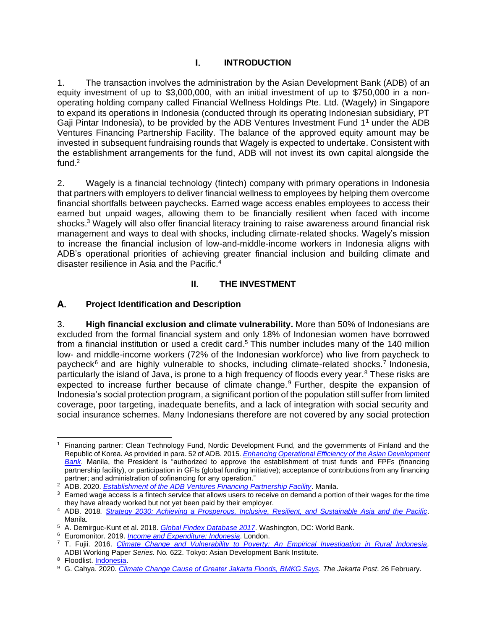### $\mathbf{L}$ **INTRODUCTION**

1. The transaction involves the administration by the Asian Development Bank (ADB) of an equity investment of up to \$3,000,000, with an initial investment of up to \$750,000 in a nonoperating holding company called Financial Wellness Holdings Pte. Ltd. (Wagely) in Singapore to expand its operations in Indonesia (conducted through its operating Indonesian subsidiary, PT Gaji Pintar Indonesia), to be provided by the ADB Ventures Investment Fund  $1<sup>1</sup>$  under the ADB Ventures Financing Partnership Facility. The balance of the approved equity amount may be invested in subsequent fundraising rounds that Wagely is expected to undertake. Consistent with the establishment arrangements for the fund, ADB will not invest its own capital alongside the fund. $2$ 

2. Wagely is a financial technology (fintech) company with primary operations in Indonesia that partners with employers to deliver financial wellness to employees by helping them overcome financial shortfalls between paychecks. Earned wage access enables employees to access their earned but unpaid wages, allowing them to be financially resilient when faced with income shocks. <sup>3</sup> Wagely will also offer financial literacy training to raise awareness around financial risk management and ways to deal with shocks, including climate-related shocks. Wagely's mission to increase the financial inclusion of low-and-middle-income workers in Indonesia aligns with ADB's operational priorities of achieving greater financial inclusion and building climate and disaster resilience in Asia and the Pacific.<sup>4</sup>

#### Ш. **THE INVESTMENT**

#### А. **Project Identification and Description**

3. **High financial exclusion and climate vulnerability.** More than 50% of Indonesians are excluded from the formal financial system and only 18% of Indonesian women have borrowed from a financial institution or used a credit card.<sup>5</sup> This number includes many of the 140 million low- and middle-income workers (72% of the Indonesian workforce) who live from paycheck to paycheck<sup>6</sup> and are highly vulnerable to shocks, including climate-related shocks.<sup>7</sup> Indonesia, particularly the island of Java, is prone to a high frequency of floods every year. $8$  These risks are expected to increase further because of climate change.<sup>9</sup> Further, despite the expansion of Indonesia's social protection program, a significant portion of the population still suffer from limited coverage, poor targeting, inadequate benefits, and a lack of integration with social security and social insurance schemes. Many Indonesians therefore are not covered by any social protection

<sup>1</sup> Financing partner: Clean Technology Fund, Nordic Development Fund, and the governments of Finland and the Republic of Korea. As provided in para. 52 of ADB. 2015*. Enhancing Operational Efficiency of the Asian Development Bank*. Manila, the President is "authorized to approve the establishment of trust funds and FPFs (financing partnership facility), or participation in GFIs (global funding initiative); acceptance of contributions from any financing partner; and administration of cofinancing for any operation."

<sup>2</sup> ADB. 2020. *Establishment of the ADB Ventures Financing Partnership Facility*. Manila.

<sup>&</sup>lt;sup>3</sup> Earned wage access is a fintech service that allows users to receive on demand a portion of their wages for the time they have already worked but not yet been paid by their employer.

<sup>4</sup> ADB. 2018*. Strategy 2030: Achieving a Prosperous, Inclusive, Resilient, and Sustainable Asia and the Pacific*. Manila.

<sup>5</sup> A. Demirguc-Kunt et al. 2018. *Global Findex Database 2017*. Washington, DC: World Bank.

<sup>6</sup> Euromonitor. 2019. *Income and Expenditure: Indonesia*. London.

<sup>7</sup> T. Fujii. 2016. *Climate Change and Vulnerability to Poverty: An Empirical Investigation in Rural Indonesia.*

ADBI Working Paper *Series.* No*.* 622. Tokyo: Asian Development Bank Institute.

<sup>8</sup> Floodlist. Indonesia.

<sup>9</sup> G. Cahya. 2020. *Climate Change Cause of Greater Jakarta Floods, BMKG Says. The Jakarta Post*. 26 February.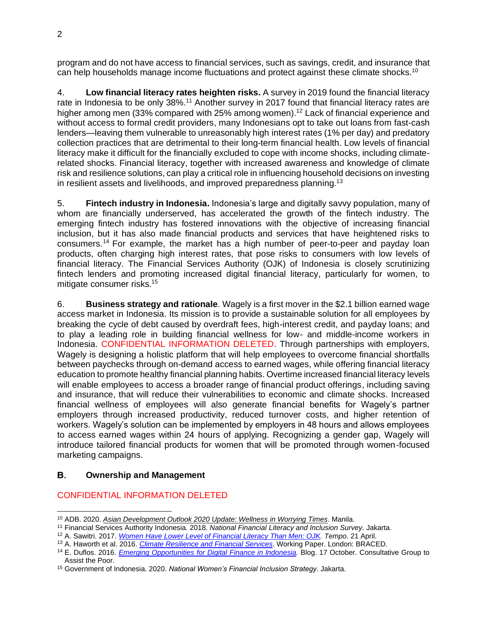program and do not have access to financial services, such as savings, credit, and insurance that can help households manage income fluctuations and protect against these climate shocks.<sup>10</sup>

4. **Low financial literacy rates heighten risks.** A survey in 2019 found the financial literacy rate in Indonesia to be only 38%.<sup>11</sup> Another survey in 2017 found that financial literacy rates are higher among men (33% compared with 25% among women).<sup>12</sup> Lack of financial experience and without access to formal credit providers, many Indonesians opt to take out loans from fast-cash lenders—leaving them vulnerable to unreasonably high interest rates (1% per day) and predatory collection practices that are detrimental to their long-term financial health. Low levels of financial literacy make it difficult for the financially excluded to cope with income shocks, including climaterelated shocks. Financial literacy, together with increased awareness and knowledge of climate risk and resilience solutions, can play a critical role in influencing household decisions on investing in resilient assets and livelihoods, and improved preparedness planning.<sup>13</sup>

5. **Fintech industry in Indonesia.** Indonesia's large and digitally savvy population, many of whom are financially underserved, has accelerated the growth of the fintech industry. The emerging fintech industry has fostered innovations with the objective of increasing financial inclusion, but it has also made financial products and services that have heightened risks to consumers.<sup>14</sup> For example, the market has a high number of peer-to-peer and payday loan products, often charging high interest rates, that pose risks to consumers with low levels of financial literacy. The Financial Services Authority (OJK) of Indonesia is closely scrutinizing fintech lenders and promoting increased digital financial literacy, particularly for women, to mitigate consumer risks. 15

6. **Business strategy and rationale**. Wagely is a first mover in the \$2.1 billion earned wage access market in Indonesia. Its mission is to provide a sustainable solution for all employees by breaking the cycle of debt caused by overdraft fees, high-interest credit, and payday loans; and to play a leading role in building financial wellness for low- and middle-income workers in Indonesia. CONFIDENTIAL INFORMATION DELETED. Through partnerships with employers, Wagely is designing a holistic platform that will help employees to overcome financial shortfalls between paychecks through on-demand access to earned wages, while offering financial literacy education to promote healthy financial planning habits. Overtime increased financial literacy levels will enable employees to access a broader range of financial product offerings, including saving and insurance, that will reduce their vulnerabilities to economic and climate shocks. Increased financial wellness of employees will also generate financial benefits for Wagely's partner employers through increased productivity, reduced turnover costs, and higher retention of workers. Wagely's solution can be implemented by employers in 48 hours and allows employees to access earned wages within 24 hours of applying. Recognizing a gender gap, Wagely will introduce tailored financial products for women that will be promoted through women-focused marketing campaigns.

#### В. **Ownership and Management**

### CONFIDENTIAL INFORMATION DELETED

<sup>10</sup> ADB. 2020. *Asian Development Outlook 2020 Update: Wellness in Worrying Times*. Manila.

<sup>11</sup> Financial Services Authority Indonesia. 2018. *National Financial Literacy and Inclusion Survey*. Jakarta.

<sup>12</sup> A. Sawitri. 2017. *Women Have Lower Level of Financial Literacy Than Men: OJK. Tempo*. 21 April.

<sup>13</sup> A. Haworth et al. 2016. *Climate Resilience and Financial Services*. Working Paper. London: BRACED.

<sup>14</sup> E. Duflos. 2016. *Emerging Opportunities for Digital Finance in Indonesia.* Blog. 17 October. Consultative Group to Assist the Poor.

<sup>15</sup> Government of Indonesia. 2020. *National Women's Financial Inclusion Strategy*. Jakarta.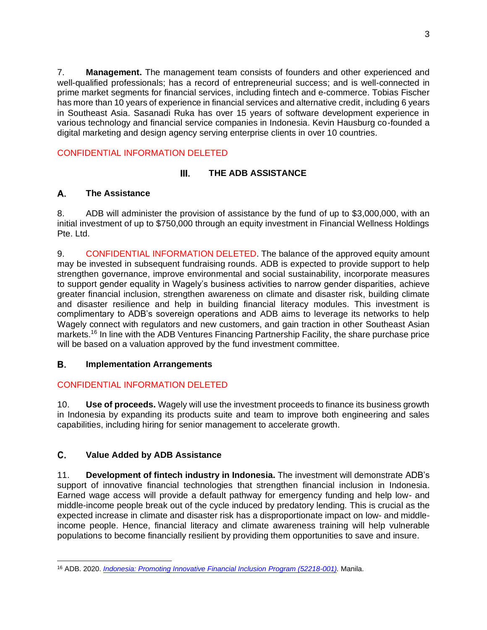7. **Management.** The management team consists of founders and other experienced and well-qualified professionals; has a record of entrepreneurial success; and is well-connected in prime market segments for financial services, including fintech and e-commerce. Tobias Fischer has more than 10 years of experience in financial services and alternative credit, including 6 years in Southeast Asia. Sasanadi Ruka has over 15 years of software development experience in various technology and financial service companies in Indonesia. Kevin Hausburg co-founded a digital marketing and design agency serving enterprise clients in over 10 countries.

# CONFIDENTIAL INFORMATION DELETED

### Ш. **THE ADB ASSISTANCE**

### А. **The Assistance**

8. ADB will administer the provision of assistance by the fund of up to \$3,000,000, with an initial investment of up to \$750,000 through an equity investment in Financial Wellness Holdings Pte. Ltd.

9. CONFIDENTIAL INFORMATION DELETED. The balance of the approved equity amount may be invested in subsequent fundraising rounds. ADB is expected to provide support to help strengthen governance, improve environmental and social sustainability, incorporate measures to support gender equality in Wagely's business activities to narrow gender disparities, achieve greater financial inclusion, strengthen awareness on climate and disaster risk, building climate and disaster resilience and help in building financial literacy modules. This investment is complimentary to ADB's sovereign operations and ADB aims to leverage its networks to help Wagely connect with regulators and new customers, and gain traction in other Southeast Asian markets.<sup>16</sup> In line with the ADB Ventures Financing Partnership Facility, the share purchase price will be based on a valuation approved by the fund investment committee.

#### В. **Implementation Arrangements**

# CONFIDENTIAL INFORMATION DELETED

10. **Use of proceeds.** Wagely will use the investment proceeds to finance its business growth in Indonesia by expanding its products suite and team to improve both engineering and sales capabilities, including hiring for senior management to accelerate growth.

### C. **Value Added by ADB Assistance**

11. **Development of fintech industry in Indonesia.** The investment will demonstrate ADB's support of innovative financial technologies that strengthen financial inclusion in Indonesia. Earned wage access will provide a default pathway for emergency funding and help low- and middle-income people break out of the cycle induced by predatory lending. This is crucial as the expected increase in climate and disaster risk has a disproportionate impact on low- and middleincome people. Hence, financial literacy and climate awareness training will help vulnerable populations to become financially resilient by providing them opportunities to save and insure.

<sup>16</sup> ADB. 2020. *Indonesia: Promoting Innovative Financial Inclusion Program (52218-001).* Manila.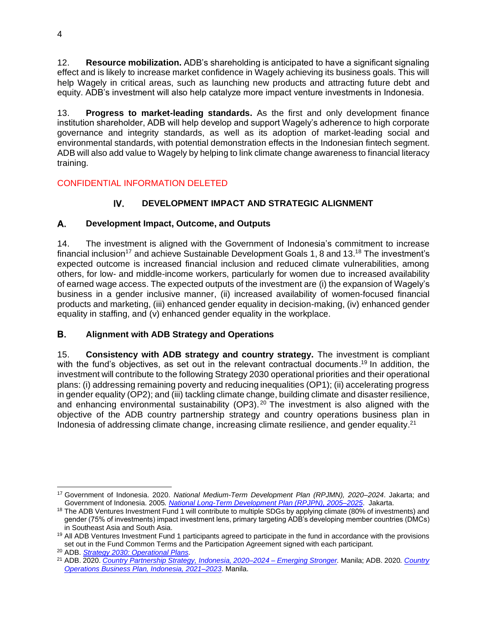12. **Resource mobilization.** ADB's shareholding is anticipated to have a significant signaling effect and is likely to increase market confidence in Wagely achieving its business goals. This will help Wagely in critical areas, such as launching new products and attracting future debt and equity. ADB's investment will also help catalyze more impact venture investments in Indonesia.

13. **Progress to market-leading standards.** As the first and only development finance institution shareholder, ADB will help develop and support Wagely's adherence to high corporate governance and integrity standards, as well as its adoption of market-leading social and environmental standards, with potential demonstration effects in the Indonesian fintech segment. ADB will also add value to Wagely by helping to link climate change awareness to financial literacy training.

## CONFIDENTIAL INFORMATION DELETED

### IV. **DEVELOPMENT IMPACT AND STRATEGIC ALIGNMENT**

### А. **Development Impact, Outcome, and Outputs**

14. The investment is aligned with the Government of Indonesia's commitment to increase financial inclusion<sup>17</sup> and achieve Sustainable Development Goals 1, 8 and 13.<sup>18</sup> The investment's expected outcome is increased financial inclusion and reduced climate vulnerabilities, among others, for low- and middle-income workers, particularly for women due to increased availability of earned wage access. The expected outputs of the investment are (i) the expansion of Wagely's business in a gender inclusive manner, (ii) increased availability of women-focused financial products and marketing, (iii) enhanced gender equality in decision-making, (iv) enhanced gender equality in staffing, and (v) enhanced gender equality in the workplace.

### В. **Alignment with ADB Strategy and Operations**

15. **Consistency with ADB strategy and country strategy.** The investment is compliant with the fund's objectives, as set out in the relevant contractual documents.<sup>19</sup> In addition, the investment will contribute to the following Strategy 2030 operational priorities and their operational plans: (i) addressing remaining poverty and reducing inequalities (OP1); (ii) accelerating progress in gender equality (OP2); and (iii) tackling climate change, building climate and disaster resilience, and enhancing environmental sustainability (OP3).  $20$  The investment is also aligned with the objective of the ADB country partnership strategy and country operations business plan in Indonesia of addressing climate change, increasing climate resilience, and gender equality.<sup>21</sup>

<sup>17</sup> Government of Indonesia. 2020. *National Medium-Term Development Plan (RPJMN), 2020–2024*. Jakarta; and Government of Indonesia. 2005*. National Long-Term Development Plan (RPJPN), 2005–2025*. Jakarta.

<sup>&</sup>lt;sup>18</sup> The ADB Ventures Investment Fund 1 will contribute to multiple SDGs by applying climate (80% of investments) and gender (75% of investments) impact investment lens, primary targeting ADB's developing member countries (DMCs) in Southeast Asia and South Asia.

<sup>&</sup>lt;sup>19</sup> All ADB Ventures Investment Fund 1 participants agreed to participate in the fund in accordance with the provisions set out in the Fund Common Terms and the Participation Agreement signed with each participant.

<sup>20</sup> ADB. *Strategy 2030: Operational Plans.*

<sup>21</sup> ADB. 2020. *Country Partnership Strategy, Indonesia, 2020–2024 – Emerging Stronger.* Manila; ADB. 2020*. Country Operations Business Plan, Indonesia, 2021–2023*. Manila.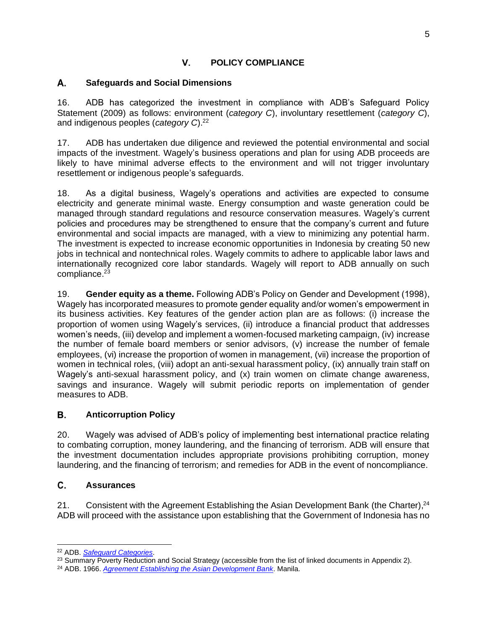### V. **POLICY COMPLIANCE**

#### А. **Safeguards and Social Dimensions**

16. ADB has categorized the investment in compliance with ADB's Safeguard Policy Statement (2009) as follows: environment (*category C*), involuntary resettlement (*category C*), and indigenous peoples (*category C*). 22

17. ADB has undertaken due diligence and reviewed the potential environmental and social impacts of the investment. Wagely's business operations and plan for using ADB proceeds are likely to have minimal adverse effects to the environment and will not trigger involuntary resettlement or indigenous people's safeguards.

18. As a digital business, Wagely's operations and activities are expected to consume electricity and generate minimal waste. Energy consumption and waste generation could be managed through standard regulations and resource conservation measures. Wagely's current policies and procedures may be strengthened to ensure that the company's current and future environmental and social impacts are managed, with a view to minimizing any potential harm. The investment is expected to increase economic opportunities in Indonesia by creating 50 new jobs in technical and nontechnical roles. Wagely commits to adhere to applicable labor laws and internationally recognized core labor standards. Wagely will report to ADB annually on such compliance.<sup>23</sup>

19. **Gender equity as a theme.** Following ADB's Policy on Gender and Development (1998), Wagely has incorporated measures to promote gender equality and/or women's empowerment in its business activities. Key features of the gender action plan are as follows: (i) increase the proportion of women using Wagely's services, (ii) introduce a financial product that addresses women's needs, (iii) develop and implement a women-focused marketing campaign, (iv) increase the number of female board members or senior advisors, (v) increase the number of female employees, (vi) increase the proportion of women in management, (vii) increase the proportion of women in technical roles, (viii) adopt an anti-sexual harassment policy, (ix) annually train staff on Wagely's anti-sexual harassment policy, and (x) train women on climate change awareness, savings and insurance. Wagely will submit periodic reports on implementation of gender measures to ADB.

#### В. **Anticorruption Policy**

20. Wagely was advised of ADB's policy of implementing best international practice relating to combating corruption, money laundering, and the financing of terrorism. ADB will ensure that the investment documentation includes appropriate provisions prohibiting corruption, money laundering, and the financing of terrorism; and remedies for ADB in the event of noncompliance.

#### C. **Assurances**

21. Consistent with the Agreement Establishing the Asian Development Bank (the Charter),<sup>24</sup> ADB will proceed with the assistance upon establishing that the Government of Indonesia has no

<sup>22</sup> ADB. *Safeguard Categories*.

<sup>&</sup>lt;sup>23</sup> Summary Poverty Reduction and Social Strategy (accessible from the list of linked documents in Appendix 2).

<sup>24</sup> ADB. 1966. *Agreement Establishing the Asian Development Bank*. Manila.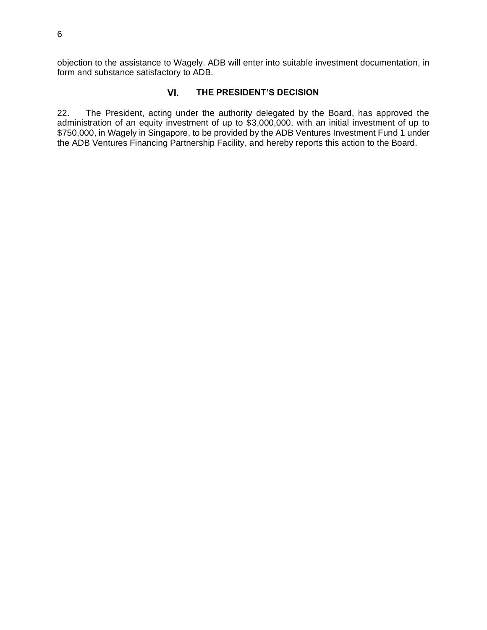objection to the assistance to Wagely. ADB will enter into suitable investment documentation, in form and substance satisfactory to ADB.

#### VI. **THE PRESIDENT'S DECISION**

22. The President, acting under the authority delegated by the Board, has approved the administration of an equity investment of up to \$3,000,000, with an initial investment of up to \$750,000, in Wagely in Singapore, to be provided by the ADB Ventures Investment Fund 1 under the ADB Ventures Financing Partnership Facility, and hereby reports this action to the Board.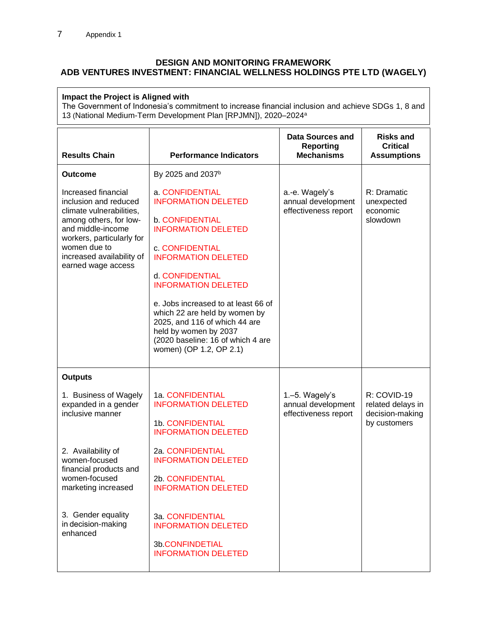### **DESIGN AND MONITORING FRAMEWORK ADB VENTURES INVESTMENT: FINANCIAL WELLNESS HOLDINGS PTE LTD (WAGELY)**

### **Impact the Project is Aligned with**

The Government of Indonesia's commitment to increase financial inclusion and achieve SDGs 1, 8 and 13 (National Medium-Term Development Plan [RPJMN]), 2020–2024 a

| <b>Results Chain</b>                                                                                                                                                                                                    | <b>Performance Indicators</b>                                                                                                                                                                                                                                                                                                                                                                             | Data Sources and<br><b>Reporting</b><br><b>Mechanisms</b>    | <b>Risks and</b><br><b>Critical</b><br><b>Assumptions</b>           |
|-------------------------------------------------------------------------------------------------------------------------------------------------------------------------------------------------------------------------|-----------------------------------------------------------------------------------------------------------------------------------------------------------------------------------------------------------------------------------------------------------------------------------------------------------------------------------------------------------------------------------------------------------|--------------------------------------------------------------|---------------------------------------------------------------------|
| <b>Outcome</b>                                                                                                                                                                                                          | By 2025 and 2037 <sup>b</sup>                                                                                                                                                                                                                                                                                                                                                                             |                                                              |                                                                     |
| Increased financial<br>inclusion and reduced<br>climate vulnerabilities,<br>among others, for low-<br>and middle-income<br>workers, particularly for<br>women due to<br>increased availability of<br>earned wage access | a. CONFIDENTIAL<br><b>INFORMATION DELETED</b><br><b>b. CONFIDENTIAL</b><br><b>INFORMATION DELETED</b><br>c. CONFIDENTIAL<br><b>INFORMATION DELETED</b><br>d. CONFIDENTIAL<br><b>INFORMATION DELETED</b><br>e. Jobs increased to at least 66 of<br>which 22 are held by women by<br>2025, and 116 of which 44 are<br>held by women by 2037<br>(2020 baseline: 16 of which 4 are<br>women) (OP 1.2, OP 2.1) | a.-e. Wagely's<br>annual development<br>effectiveness report | R: Dramatic<br>unexpected<br>economic<br>slowdown                   |
| <b>Outputs</b>                                                                                                                                                                                                          |                                                                                                                                                                                                                                                                                                                                                                                                           |                                                              |                                                                     |
| 1. Business of Wagely<br>expanded in a gender<br>inclusive manner                                                                                                                                                       | 1a. CONFIDENTIAL<br><b>INFORMATION DELETED</b><br>1b. CONFIDENTIAL<br><b>INFORMATION DELETED</b>                                                                                                                                                                                                                                                                                                          | 1.-5. Wagely's<br>annual development<br>effectiveness report | R: COVID-19<br>related delays in<br>decision-making<br>by customers |
| 2. Availability of<br>women-focused<br>financial products and<br>women-focused<br>marketing increased                                                                                                                   | 2a. CONFIDENTIAL<br><b>INFORMATION DELETED</b><br>2b. CONFIDENTIAL<br><b>INFORMATION DELETED</b>                                                                                                                                                                                                                                                                                                          |                                                              |                                                                     |
| 3. Gender equality<br>in decision-making<br>enhanced                                                                                                                                                                    | 3a. CONFIDENTIAL<br><b>INFORMATION DELETED</b><br>3b.CONFINDETIAL<br><b>INFORMATION DELETED</b>                                                                                                                                                                                                                                                                                                           |                                                              |                                                                     |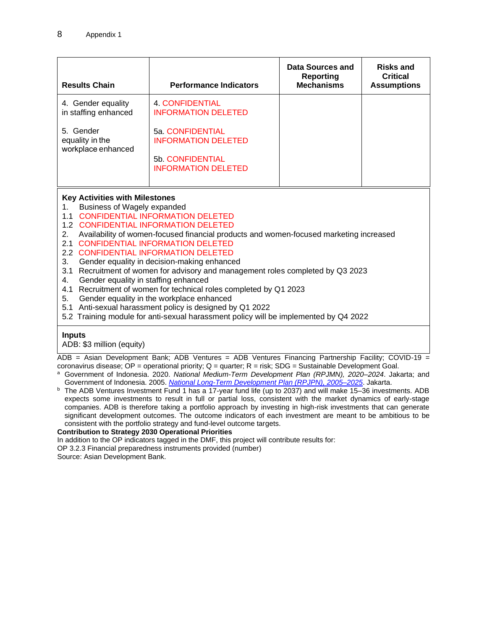| <b>Results Chain</b>                                                                                                         | <b>Performance Indicators</b>                                      | <b>Data Sources and</b><br><b>Reporting</b><br><b>Mechanisms</b> | <b>Risks and</b><br><b>Critical</b><br><b>Assumptions</b> |  |
|------------------------------------------------------------------------------------------------------------------------------|--------------------------------------------------------------------|------------------------------------------------------------------|-----------------------------------------------------------|--|
| 4. Gender equality<br>in staffing enhanced                                                                                   | 4. CONFIDENTIAL<br><b>INFORMATION DELETED</b>                      |                                                                  |                                                           |  |
| 5. Gender<br>equality in the<br>workplace enhanced                                                                           | 5a. CONFIDENTIAL<br><b>INFORMATION DELETED</b><br>5b. CONFIDENTIAL |                                                                  |                                                           |  |
|                                                                                                                              | <b>INFORMATION DELETED</b>                                         |                                                                  |                                                           |  |
| <b>Key Activities with Milestones</b><br>Business of Wagely expanded<br>1.<br><b>CONFIDENTIAL INFORMATION DELETED</b><br>1.1 |                                                                    |                                                                  |                                                           |  |

1.2 CONFIDENTIAL INFORMATION DELETED

2. Availability of women-focused financial products and women-focused marketing increased

- 2.1 CONFIDENTIAL INFORMATION DELETED
- 2.2 CONFIDENTIAL INFORMATION DELETED
- 3. Gender equality in decision-making enhanced
- 3.1 Recruitment of women for advisory and management roles completed by Q3 2023
- 4. Gender equality in staffing enhanced
- 4.1 Recruitment of women for technical roles completed by Q1 2023
- 5. Gender equality in the workplace enhanced
- 5.1 Anti-sexual harassment policy is designed by Q1 2022
- 5.2 Training module for anti-sexual harassment policy will be implemented by Q4 2022

### **Inputs**

ADB: \$3 million (equity)

ADB = Asian Development Bank; ADB Ventures = ADB Ventures Financing Partnership Facility; COVID-19 =

coronavirus disease;  $OP =$  operational priority;  $Q =$  quarter;  $R =$  risk;  $SDG =$  Sustainable Development Goal.

- <sup>a</sup> Government of Indonesia. 2020. *National Medium-Term Development Plan (RPJMN), 2020–2024*. Jakarta; and Government of Indonesia. 2005. *National Long-Term Development Plan (RPJPN), 2005–2025*. Jakarta.
- <sup>b</sup> The ADB Ventures Investment Fund 1 has a 17-year fund life (up to 2037) and will make 15–36 investments. ADB expects some investments to result in full or partial loss, consistent with the market dynamics of early-stage companies. ADB is therefore taking a portfolio approach by investing in high-risk investments that can generate significant development outcomes. The outcome indicators of each investment are meant to be ambitious to be consistent with the portfolio strategy and fund-level outcome targets.

### **Contribution to Strategy 2030 Operational Priorities**

In addition to the OP indicators tagged in the DMF, this project will contribute results for:

OP 3.2.3 Financial preparedness instruments provided (number)

Source: Asian Development Bank.